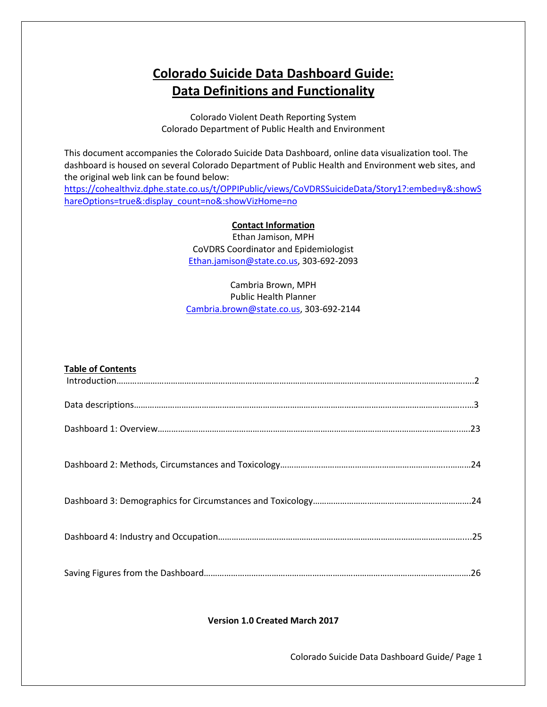# **Colorado Suicide Data Dashboard Guide: Data Definitions and Functionality**

Colorado Violent Death Reporting System Colorado Department of Public Health and Environment

This document accompanies the Colorado Suicide Data Dashboard, online data visualization tool. The dashboard is housed on several Colorado Department of Public Health and Environment web sites, and the original web link can be found below:

[https://cohealthviz.dphe.state.co.us/t/OPPIPublic/views/CoVDRSSuicideData/Story1?:embed=y&:showS](https://cohealthviz.dphe.state.co.us/t/OPPIPublic/views/CoVDRSSuicideData/Story1?:embed=y&:showShareOptions=true&:display_count=no&:showVizHome=no) [hareOptions=true&:display\\_count=no&:showVizHome=no](https://cohealthviz.dphe.state.co.us/t/OPPIPublic/views/CoVDRSSuicideData/Story1?:embed=y&:showShareOptions=true&:display_count=no&:showVizHome=no)

## **Contact Information**

Ethan Jamison, MPH CoVDRS Coordinator and Epidemiologist [Ethan.jamison@state.co.us,](mailto:Ethan.jamison@state.co.us) 303-692-2093

## Cambria Brown, MPH Public Health Planner [Cambria.brown@state.co.us,](mailto:Cambria.brown@state.co.us) 303-692-2144

| <b>Table of Contents</b> |  |
|--------------------------|--|
|                          |  |
|                          |  |
|                          |  |
|                          |  |
|                          |  |
|                          |  |

## **Version 1.0 Created March 2017**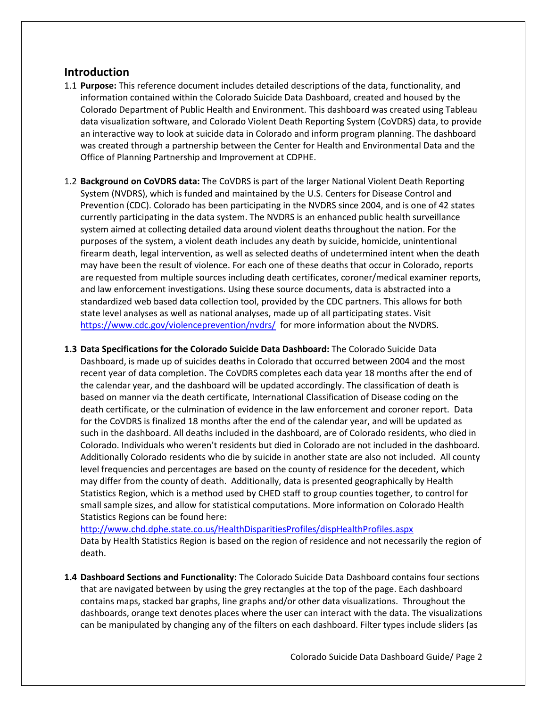## **Introduction**

- 1.1 **Purpose:** This reference document includes detailed descriptions of the data, functionality, and information contained within the Colorado Suicide Data Dashboard, created and housed by the Colorado Department of Public Health and Environment. This dashboard was created using Tableau data visualization software, and Colorado Violent Death Reporting System (CoVDRS) data, to provide an interactive way to look at suicide data in Colorado and inform program planning. The dashboard was created through a partnership between the Center for Health and Environmental Data and the Office of Planning Partnership and Improvement at CDPHE.
- 1.2 **Background on CoVDRS data:** The CoVDRS is part of the larger National Violent Death Reporting System (NVDRS), which is funded and maintained by the U.S. Centers for Disease Control and Prevention (CDC). Colorado has been participating in the NVDRS since 2004, and is one of 42 states currently participating in the data system. The NVDRS is an enhanced public health surveillance system aimed at collecting detailed data around violent deaths throughout the nation. For the purposes of the system, a violent death includes any death by suicide, homicide, unintentional firearm death, legal intervention, as well as selected deaths of undetermined intent when the death may have been the result of violence. For each one of these deaths that occur in Colorado, reports are requested from multiple sources including death certificates, coroner/medical examiner reports, and law enforcement investigations. Using these source documents, data is abstracted into a standardized web based data collection tool, provided by the CDC partners. This allows for both state level analyses as well as national analyses, made up of all participating states. Visit <https://www.cdc.gov/violenceprevention/nvdrs/>for more information about the NVDRS.
- **1.3 Data Specifications for the Colorado Suicide Data Dashboard:** The Colorado Suicide Data Dashboard, is made up of suicides deaths in Colorado that occurred between 2004 and the most recent year of data completion. The CoVDRS completes each data year 18 months after the end of the calendar year, and the dashboard will be updated accordingly. The classification of death is based on manner via the death certificate, International Classification of Disease coding on the death certificate, or the culmination of evidence in the law enforcement and coroner report. Data for the CoVDRS is finalized 18 months after the end of the calendar year, and will be updated as such in the dashboard. All deaths included in the dashboard, are of Colorado residents, who died in Colorado. Individuals who weren't residents but died in Colorado are not included in the dashboard. Additionally Colorado residents who die by suicide in another state are also not included. All county level frequencies and percentages are based on the county of residence for the decedent, which may differ from the county of death. Additionally, data is presented geographically by Health Statistics Region, which is a method used by CHED staff to group counties together, to control for small sample sizes, and allow for statistical computations. More information on Colorado Health Statistics Regions can be found here:

<http://www.chd.dphe.state.co.us/HealthDisparitiesProfiles/dispHealthProfiles.aspx> Data by Health Statistics Region is based on the region of residence and not necessarily the region of death.

**1.4 Dashboard Sections and Functionality:** The Colorado Suicide Data Dashboard contains four sections that are navigated between by using the grey rectangles at the top of the page. Each dashboard contains maps, stacked bar graphs, line graphs and/or other data visualizations. Throughout the dashboards, orange text denotes places where the user can interact with the data. The visualizations can be manipulated by changing any of the filters on each dashboard. Filter types include sliders (as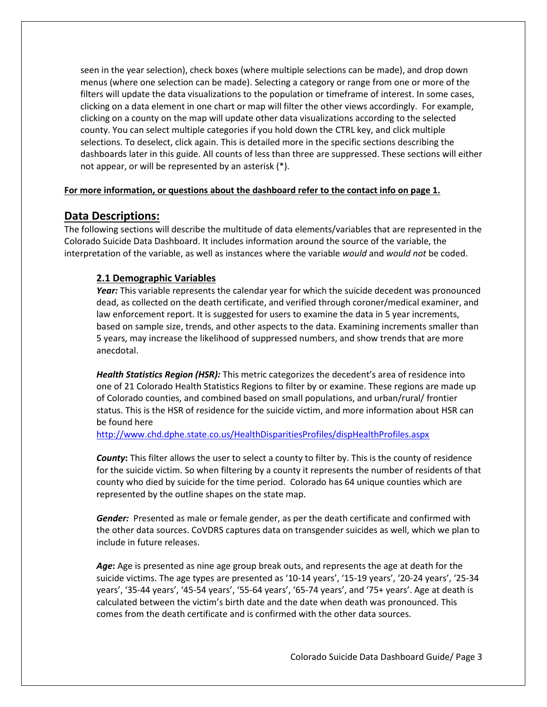seen in the year selection), check boxes (where multiple selections can be made), and drop down menus (where one selection can be made). Selecting a category or range from one or more of the filters will update the data visualizations to the population or timeframe of interest. In some cases, clicking on a data element in one chart or map will filter the other views accordingly. For example, clicking on a county on the map will update other data visualizations according to the selected county. You can select multiple categories if you hold down the CTRL key, and click multiple selections. To deselect, click again. This is detailed more in the specific sections describing the dashboards later in this guide. All counts of less than three are suppressed. These sections will either not appear, or will be represented by an asterisk (\*).

## **For more information, or questions about the dashboard refer to the contact info on page 1.**

## **Data Descriptions:**

The following sections will describe the multitude of data elements/variables that are represented in the Colorado Suicide Data Dashboard. It includes information around the source of the variable, the interpretation of the variable, as well as instances where the variable *would* and *would not* be coded.

## **2.1 Demographic Variables**

*Year:* This variable represents the calendar year for which the suicide decedent was pronounced dead, as collected on the death certificate, and verified through coroner/medical examiner, and law enforcement report. It is suggested for users to examine the data in 5 year increments, based on sample size, trends, and other aspects to the data. Examining increments smaller than 5 years, may increase the likelihood of suppressed numbers, and show trends that are more anecdotal.

*Health Statistics Region (HSR):* This metric categorizes the decedent's area of residence into one of 21 Colorado Health Statistics Regions to filter by or examine. These regions are made up of Colorado counties, and combined based on small populations, and urban/rural/ frontier status. This is the HSR of residence for the suicide victim, and more information about HSR can be found here

<http://www.chd.dphe.state.co.us/HealthDisparitiesProfiles/dispHealthProfiles.aspx>

*County***:** This filter allows the user to select a county to filter by. This is the county of residence for the suicide victim. So when filtering by a county it represents the number of residents of that county who died by suicide for the time period. Colorado has 64 unique counties which are represented by the outline shapes on the state map.

*Gender:*Presented as male or female gender, as per the death certificate and confirmed with the other data sources. CoVDRS captures data on transgender suicides as well, which we plan to include in future releases.

Age: Age is presented as nine age group break outs, and represents the age at death for the suicide victims. The age types are presented as '10-14 years', '15-19 years', '20-24 years', '25-34 years', '35-44 years', '45-54 years', '55-64 years', '65-74 years', and '75+ years'. Age at death is calculated between the victim's birth date and the date when death was pronounced. This comes from the death certificate and is confirmed with the other data sources.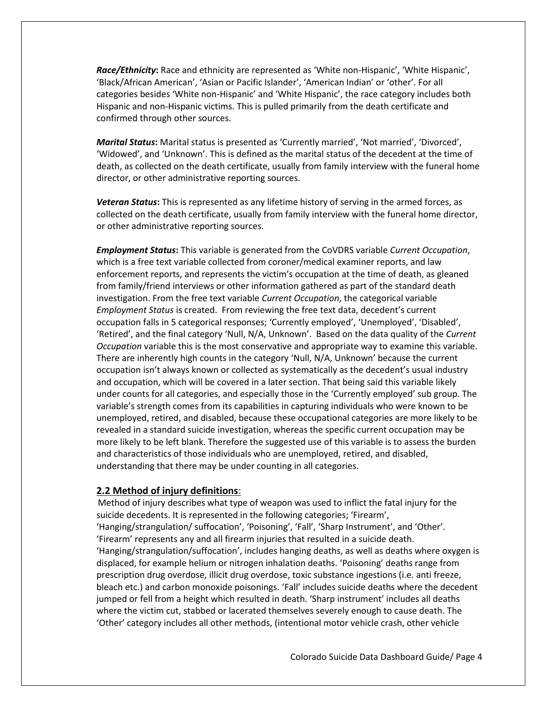*Race/Ethnicity***:** Race and ethnicity are represented as 'White non-Hispanic', 'White Hispanic', 'Black/African American', 'Asian or Pacific Islander', 'American Indian' or 'other'. For all categories besides 'White non-Hispanic' and 'White Hispanic', the race category includes both Hispanic and non-Hispanic victims. This is pulled primarily from the death certificate and confirmed through other sources.

*Marital Status***:** Marital status is presented as 'Currently married', 'Not married', 'Divorced', 'Widowed', and 'Unknown'. This is defined as the marital status of the decedent at the time of death, as collected on the death certificate, usually from family interview with the funeral home director, or other administrative reporting sources.

*Veteran Status***:** This is represented as any lifetime history of serving in the armed forces, as collected on the death certificate, usually from family interview with the funeral home director, or other administrative reporting sources.

*Employment Status***:** This variable is generated from the CoVDRS variable *Current Occupation*, which is a free text variable collected from coroner/medical examiner reports, and law enforcement reports, and represents the victim's occupation at the time of death, as gleaned from family/friend interviews or other information gathered as part of the standard death investigation. From the free text variable *Current Occupation*, the categorical variable *Employment Status* is created. From reviewing the free text data, decedent's current occupation falls in 5 categorical responses; 'Currently employed', 'Unemployed', 'Disabled', 'Retired', and the final category 'Null, N/A, Unknown'. Based on the data quality of the *Current Occupation* variable this is the most conservative and appropriate way to examine this variable. There are inherently high counts in the category 'Null, N/A, Unknown' because the current occupation isn't always known or collected as systematically as the decedent's usual industry and occupation, which will be covered in a later section. That being said this variable likely under counts for all categories, and especially those in the 'Currently employed' sub group. The variable's strength comes from its capabilities in capturing individuals who were known to be unemployed, retired, and disabled, because these occupational categories are more likely to be revealed in a standard suicide investigation, whereas the specific current occupation may be more likely to be left blank. Therefore the suggested use of this variable is to assess the burden and characteristics of those individuals who are unemployed, retired, and disabled, understanding that there may be under counting in all categories.

## **2.2 Method of injury definitions**:

Method of injury describes what type of weapon was used to inflict the fatal injury for the suicide decedents. It is represented in the following categories; 'Firearm', 'Hanging/strangulation/ suffocation', 'Poisoning', 'Fall', 'Sharp Instrument', and 'Other'. 'Firearm' represents any and all firearm injuries that resulted in a suicide death. 'Hanging/strangulation/suffocation', includes hanging deaths, as well as deaths where oxygen is displaced, for example helium or nitrogen inhalation deaths. 'Poisoning' deaths range from prescription drug overdose, illicit drug overdose, toxic substance ingestions (i.e. anti freeze, bleach etc.) and carbon monoxide poisonings. 'Fall' includes suicide deaths where the decedent jumped or fell from a height which resulted in death. 'Sharp instrument' includes all deaths where the victim cut, stabbed or lacerated themselves severely enough to cause death. The 'Other' category includes all other methods, (intentional motor vehicle crash, other vehicle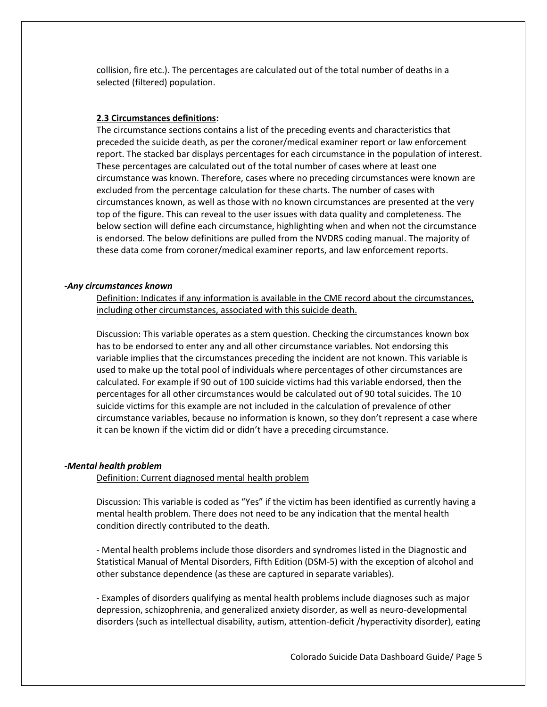collision, fire etc.). The percentages are calculated out of the total number of deaths in a selected (filtered) population.

## **2.3 Circumstances definitions:**

The circumstance sections contains a list of the preceding events and characteristics that preceded the suicide death, as per the coroner/medical examiner report or law enforcement report. The stacked bar displays percentages for each circumstance in the population of interest. These percentages are calculated out of the total number of cases where at least one circumstance was known. Therefore, cases where no preceding circumstances were known are excluded from the percentage calculation for these charts. The number of cases with circumstances known, as well as those with no known circumstances are presented at the very top of the figure. This can reveal to the user issues with data quality and completeness. The below section will define each circumstance, highlighting when and when not the circumstance is endorsed. The below definitions are pulled from the NVDRS coding manual. The majority of these data come from coroner/medical examiner reports, and law enforcement reports.

#### *-Any circumstances known*

Definition: Indicates if any information is available in the CME record about the circumstances, including other circumstances, associated with this suicide death.

Discussion: This variable operates as a stem question. Checking the circumstances known box has to be endorsed to enter any and all other circumstance variables. Not endorsing this variable implies that the circumstances preceding the incident are not known. This variable is used to make up the total pool of individuals where percentages of other circumstances are calculated. For example if 90 out of 100 suicide victims had this variable endorsed, then the percentages for all other circumstances would be calculated out of 90 total suicides. The 10 suicide victims for this example are not included in the calculation of prevalence of other circumstance variables, because no information is known, so they don't represent a case where it can be known if the victim did or didn't have a preceding circumstance.

#### *-Mental health problem*

Definition: Current diagnosed mental health problem

Discussion: This variable is coded as "Yes" if the victim has been identified as currently having a mental health problem. There does not need to be any indication that the mental health condition directly contributed to the death.

- Mental health problems include those disorders and syndromes listed in the Diagnostic and Statistical Manual of Mental Disorders, Fifth Edition (DSM-5) with the exception of alcohol and other substance dependence (as these are captured in separate variables).

- Examples of disorders qualifying as mental health problems include diagnoses such as major depression, schizophrenia, and generalized anxiety disorder, as well as neuro-developmental disorders (such as intellectual disability, autism, attention-deficit /hyperactivity disorder), eating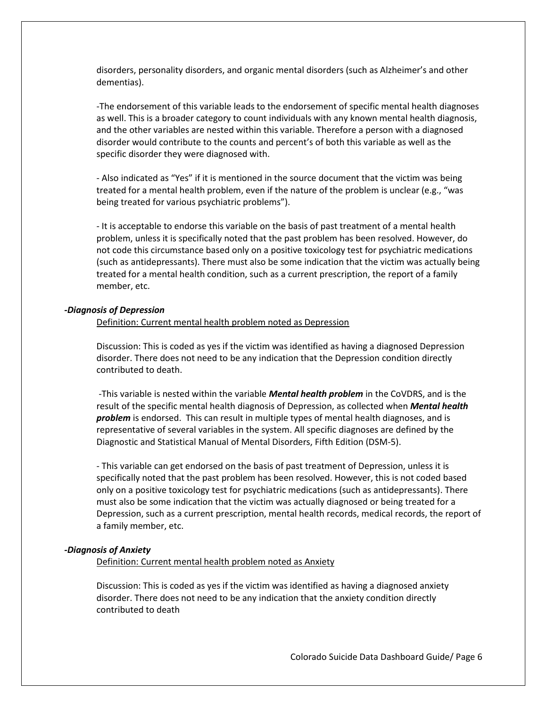disorders, personality disorders, and organic mental disorders (such as Alzheimer's and other dementias).

-The endorsement of this variable leads to the endorsement of specific mental health diagnoses as well. This is a broader category to count individuals with any known mental health diagnosis, and the other variables are nested within this variable. Therefore a person with a diagnosed disorder would contribute to the counts and percent's of both this variable as well as the specific disorder they were diagnosed with.

- Also indicated as "Yes" if it is mentioned in the source document that the victim was being treated for a mental health problem, even if the nature of the problem is unclear (e.g., "was being treated for various psychiatric problems").

- It is acceptable to endorse this variable on the basis of past treatment of a mental health problem, unless it is specifically noted that the past problem has been resolved. However, do not code this circumstance based only on a positive toxicology test for psychiatric medications (such as antidepressants). There must also be some indication that the victim was actually being treated for a mental health condition, such as a current prescription, the report of a family member, etc.

#### *-Diagnosis of Depression*

Definition: Current mental health problem noted as Depression

Discussion: This is coded as yes if the victim was identified as having a diagnosed Depression disorder. There does not need to be any indication that the Depression condition directly contributed to death.

-This variable is nested within the variable *Mental health problem* in the CoVDRS, and is the result of the specific mental health diagnosis of Depression, as collected when *Mental health problem* is endorsed. This can result in multiple types of mental health diagnoses, and is representative of several variables in the system. All specific diagnoses are defined by the Diagnostic and Statistical Manual of Mental Disorders, Fifth Edition (DSM-5).

- This variable can get endorsed on the basis of past treatment of Depression, unless it is specifically noted that the past problem has been resolved. However, this is not coded based only on a positive toxicology test for psychiatric medications (such as antidepressants). There must also be some indication that the victim was actually diagnosed or being treated for a Depression, such as a current prescription, mental health records, medical records, the report of a family member, etc.

### *-Diagnosis of Anxiety*

Definition: Current mental health problem noted as Anxiety

Discussion: This is coded as yes if the victim was identified as having a diagnosed anxiety disorder. There does not need to be any indication that the anxiety condition directly contributed to death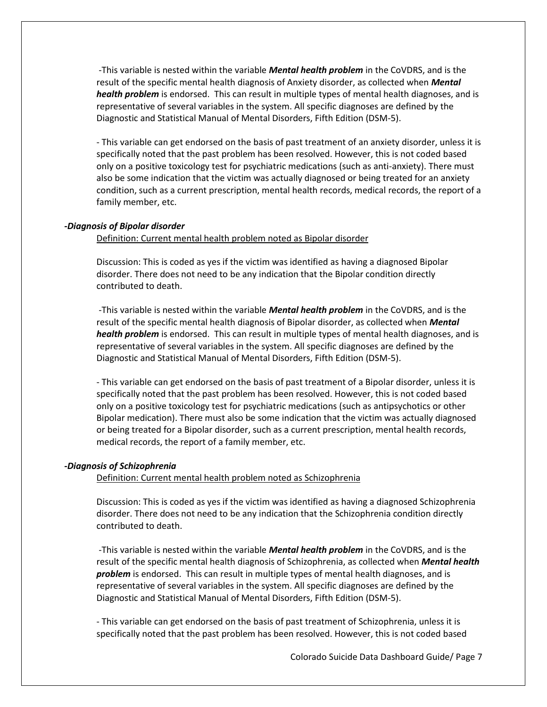-This variable is nested within the variable *Mental health problem* in the CoVDRS, and is the result of the specific mental health diagnosis of Anxiety disorder, as collected when *Mental health problem* is endorsed. This can result in multiple types of mental health diagnoses, and is representative of several variables in the system. All specific diagnoses are defined by the Diagnostic and Statistical Manual of Mental Disorders, Fifth Edition (DSM-5).

- This variable can get endorsed on the basis of past treatment of an anxiety disorder, unless it is specifically noted that the past problem has been resolved. However, this is not coded based only on a positive toxicology test for psychiatric medications (such as anti-anxiety). There must also be some indication that the victim was actually diagnosed or being treated for an anxiety condition, such as a current prescription, mental health records, medical records, the report of a family member, etc.

### *-Diagnosis of Bipolar disorder*

Definition: Current mental health problem noted as Bipolar disorder

Discussion: This is coded as yes if the victim was identified as having a diagnosed Bipolar disorder. There does not need to be any indication that the Bipolar condition directly contributed to death.

-This variable is nested within the variable *Mental health problem* in the CoVDRS, and is the result of the specific mental health diagnosis of Bipolar disorder, as collected when *Mental health problem* is endorsed. This can result in multiple types of mental health diagnoses, and is representative of several variables in the system. All specific diagnoses are defined by the Diagnostic and Statistical Manual of Mental Disorders, Fifth Edition (DSM-5).

- This variable can get endorsed on the basis of past treatment of a Bipolar disorder, unless it is specifically noted that the past problem has been resolved. However, this is not coded based only on a positive toxicology test for psychiatric medications (such as antipsychotics or other Bipolar medication). There must also be some indication that the victim was actually diagnosed or being treated for a Bipolar disorder, such as a current prescription, mental health records, medical records, the report of a family member, etc.

#### *-Diagnosis of Schizophrenia*

Definition: Current mental health problem noted as Schizophrenia

Discussion: This is coded as yes if the victim was identified as having a diagnosed Schizophrenia disorder. There does not need to be any indication that the Schizophrenia condition directly contributed to death.

-This variable is nested within the variable *Mental health problem* in the CoVDRS, and is the result of the specific mental health diagnosis of Schizophrenia, as collected when *Mental health problem* is endorsed. This can result in multiple types of mental health diagnoses, and is representative of several variables in the system. All specific diagnoses are defined by the Diagnostic and Statistical Manual of Mental Disorders, Fifth Edition (DSM-5).

- This variable can get endorsed on the basis of past treatment of Schizophrenia, unless it is specifically noted that the past problem has been resolved. However, this is not coded based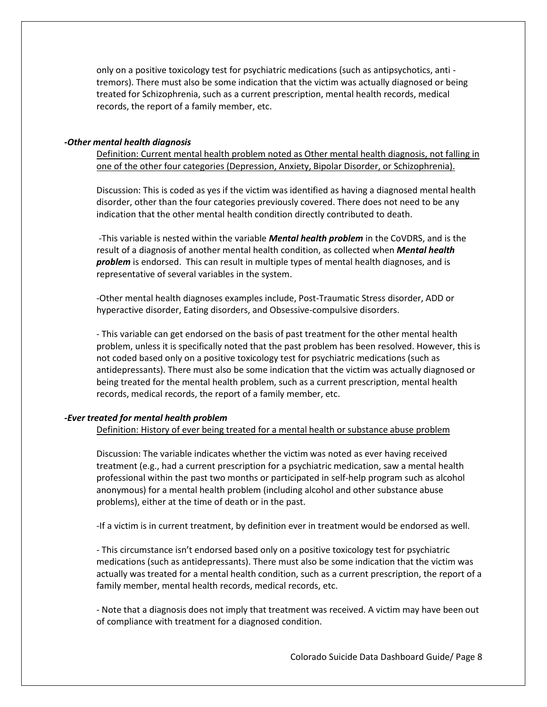only on a positive toxicology test for psychiatric medications (such as antipsychotics, anti tremors). There must also be some indication that the victim was actually diagnosed or being treated for Schizophrenia, such as a current prescription, mental health records, medical records, the report of a family member, etc.

#### *-Other mental health diagnosis*

Definition: Current mental health problem noted as Other mental health diagnosis, not falling in one of the other four categories (Depression, Anxiety, Bipolar Disorder, or Schizophrenia).

Discussion: This is coded as yes if the victim was identified as having a diagnosed mental health disorder, other than the four categories previously covered. There does not need to be any indication that the other mental health condition directly contributed to death.

-This variable is nested within the variable *Mental health problem* in the CoVDRS, and is the result of a diagnosis of another mental health condition, as collected when *Mental health problem* is endorsed. This can result in multiple types of mental health diagnoses, and is representative of several variables in the system.

-Other mental health diagnoses examples include, Post-Traumatic Stress disorder, ADD or hyperactive disorder, Eating disorders, and Obsessive-compulsive disorders.

- This variable can get endorsed on the basis of past treatment for the other mental health problem, unless it is specifically noted that the past problem has been resolved. However, this is not coded based only on a positive toxicology test for psychiatric medications (such as antidepressants). There must also be some indication that the victim was actually diagnosed or being treated for the mental health problem, such as a current prescription, mental health records, medical records, the report of a family member, etc.

## *-Ever treated for mental health problem*

Definition: History of ever being treated for a mental health or substance abuse problem

Discussion: The variable indicates whether the victim was noted as ever having received treatment (e.g., had a current prescription for a psychiatric medication, saw a mental health professional within the past two months or participated in self-help program such as alcohol anonymous) for a mental health problem (including alcohol and other substance abuse problems), either at the time of death or in the past.

-If a victim is in current treatment, by definition ever in treatment would be endorsed as well.

- This circumstance isn't endorsed based only on a positive toxicology test for psychiatric medications (such as antidepressants). There must also be some indication that the victim was actually was treated for a mental health condition, such as a current prescription, the report of a family member, mental health records, medical records, etc.

- Note that a diagnosis does not imply that treatment was received. A victim may have been out of compliance with treatment for a diagnosed condition.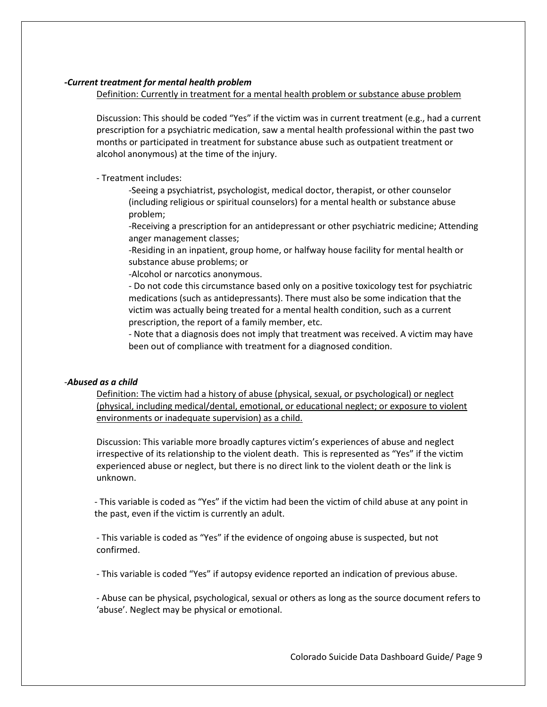## *-Current treatment for mental health problem*

Definition: Currently in treatment for a mental health problem or substance abuse problem

Discussion: This should be coded "Yes" if the victim was in current treatment (e.g., had a current prescription for a psychiatric medication, saw a mental health professional within the past two months or participated in treatment for substance abuse such as outpatient treatment or alcohol anonymous) at the time of the injury.

- Treatment includes:

-Seeing a psychiatrist, psychologist, medical doctor, therapist, or other counselor (including religious or spiritual counselors) for a mental health or substance abuse problem;

-Receiving a prescription for an antidepressant or other psychiatric medicine; Attending anger management classes;

-Residing in an inpatient, group home, or halfway house facility for mental health or substance abuse problems; or

-Alcohol or narcotics anonymous.

- Do not code this circumstance based only on a positive toxicology test for psychiatric medications (such as antidepressants). There must also be some indication that the victim was actually being treated for a mental health condition, such as a current prescription, the report of a family member, etc.

- Note that a diagnosis does not imply that treatment was received. A victim may have been out of compliance with treatment for a diagnosed condition.

## -*Abused as a child*

Definition: The victim had a history of abuse (physical, sexual, or psychological) or neglect (physical, including medical/dental, emotional, or educational neglect; or exposure to violent environments or inadequate supervision) as a child.

Discussion: This variable more broadly captures victim's experiences of abuse and neglect irrespective of its relationship to the violent death. This is represented as "Yes" if the victim experienced abuse or neglect, but there is no direct link to the violent death or the link is unknown.

- This variable is coded as "Yes" if the victim had been the victim of child abuse at any point in the past, even if the victim is currently an adult.

- This variable is coded as "Yes" if the evidence of ongoing abuse is suspected, but not confirmed.

- This variable is coded "Yes" if autopsy evidence reported an indication of previous abuse.

- Abuse can be physical, psychological, sexual or others as long as the source document refers to 'abuse'. Neglect may be physical or emotional.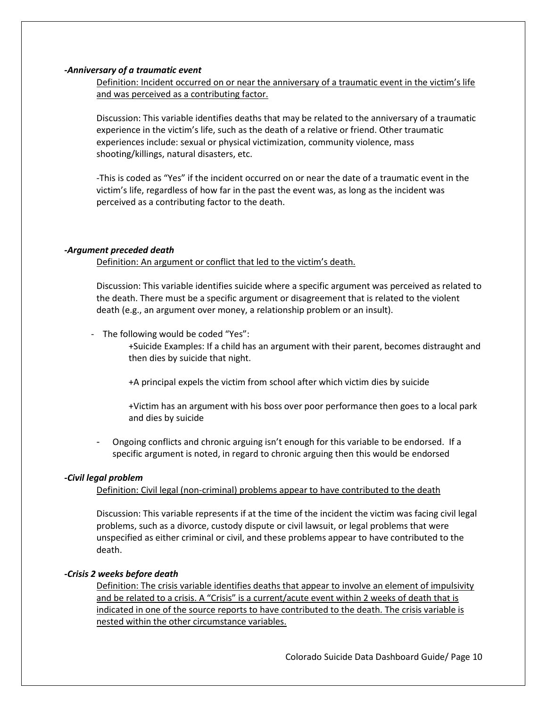### *-Anniversary of a traumatic event*

Definition: Incident occurred on or near the anniversary of a traumatic event in the victim's life and was perceived as a contributing factor.

Discussion: This variable identifies deaths that may be related to the anniversary of a traumatic experience in the victim's life, such as the death of a relative or friend. Other traumatic experiences include: sexual or physical victimization, community violence, mass shooting/killings, natural disasters, etc.

-This is coded as "Yes" if the incident occurred on or near the date of a traumatic event in the victim's life, regardless of how far in the past the event was, as long as the incident was perceived as a contributing factor to the death.

## *-Argument preceded death*

Definition: An argument or conflict that led to the victim's death.

Discussion: This variable identifies suicide where a specific argument was perceived as related to the death. There must be a specific argument or disagreement that is related to the violent death (e.g., an argument over money, a relationship problem or an insult).

- The following would be coded "Yes":

+Suicide Examples: If a child has an argument with their parent, becomes distraught and then dies by suicide that night.

+A principal expels the victim from school after which victim dies by suicide

+Victim has an argument with his boss over poor performance then goes to a local park and dies by suicide

Ongoing conflicts and chronic arguing isn't enough for this variable to be endorsed. If a specific argument is noted, in regard to chronic arguing then this would be endorsed

## *-Civil legal problem*

Definition: Civil legal (non-criminal) problems appear to have contributed to the death

Discussion: This variable represents if at the time of the incident the victim was facing civil legal problems, such as a divorce, custody dispute or civil lawsuit, or legal problems that were unspecified as either criminal or civil, and these problems appear to have contributed to the death.

#### *-Crisis 2 weeks before death*

Definition: The crisis variable identifies deaths that appear to involve an element of impulsivity and be related to a crisis. A "Crisis" is a current/acute event within 2 weeks of death that is indicated in one of the source reports to have contributed to the death. The crisis variable is nested within the other circumstance variables.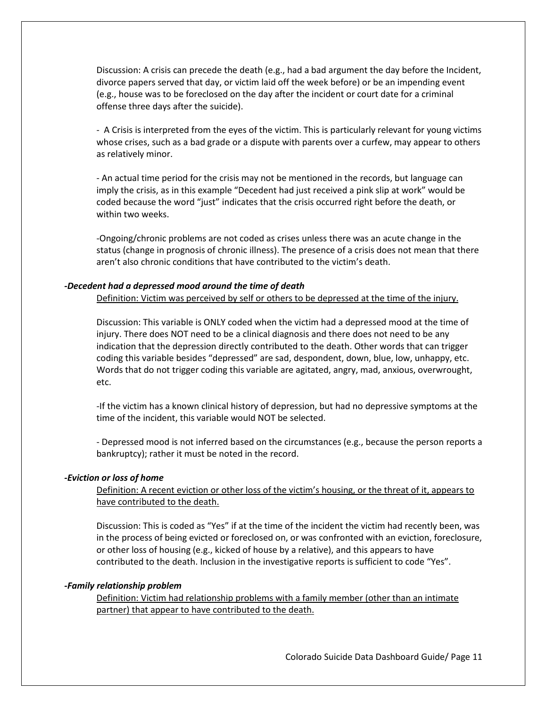Discussion: A crisis can precede the death (e.g., had a bad argument the day before the Incident, divorce papers served that day, or victim laid off the week before) or be an impending event (e.g., house was to be foreclosed on the day after the incident or court date for a criminal offense three days after the suicide).

- A Crisis is interpreted from the eyes of the victim. This is particularly relevant for young victims whose crises, such as a bad grade or a dispute with parents over a curfew, may appear to others as relatively minor.

- An actual time period for the crisis may not be mentioned in the records, but language can imply the crisis, as in this example "Decedent had just received a pink slip at work" would be coded because the word "just" indicates that the crisis occurred right before the death, or within two weeks.

-Ongoing/chronic problems are not coded as crises unless there was an acute change in the status (change in prognosis of chronic illness). The presence of a crisis does not mean that there aren't also chronic conditions that have contributed to the victim's death.

## *-Decedent had a depressed mood around the time of death*

Definition: Victim was perceived by self or others to be depressed at the time of the injury.

Discussion: This variable is ONLY coded when the victim had a depressed mood at the time of injury. There does NOT need to be a clinical diagnosis and there does not need to be any indication that the depression directly contributed to the death. Other words that can trigger coding this variable besides "depressed" are sad, despondent, down, blue, low, unhappy, etc. Words that do not trigger coding this variable are agitated, angry, mad, anxious, overwrought, etc.

-If the victim has a known clinical history of depression, but had no depressive symptoms at the time of the incident, this variable would NOT be selected.

- Depressed mood is not inferred based on the circumstances (e.g., because the person reports a bankruptcy); rather it must be noted in the record.

#### *-Eviction or loss of home*

Definition: A recent eviction or other loss of the victim's housing, or the threat of it, appears to have contributed to the death.

Discussion: This is coded as "Yes" if at the time of the incident the victim had recently been, was in the process of being evicted or foreclosed on, or was confronted with an eviction, foreclosure, or other loss of housing (e.g., kicked of house by a relative), and this appears to have contributed to the death. Inclusion in the investigative reports is sufficient to code "Yes".

#### *-Family relationship problem*

Definition: Victim had relationship problems with a family member (other than an intimate partner) that appear to have contributed to the death.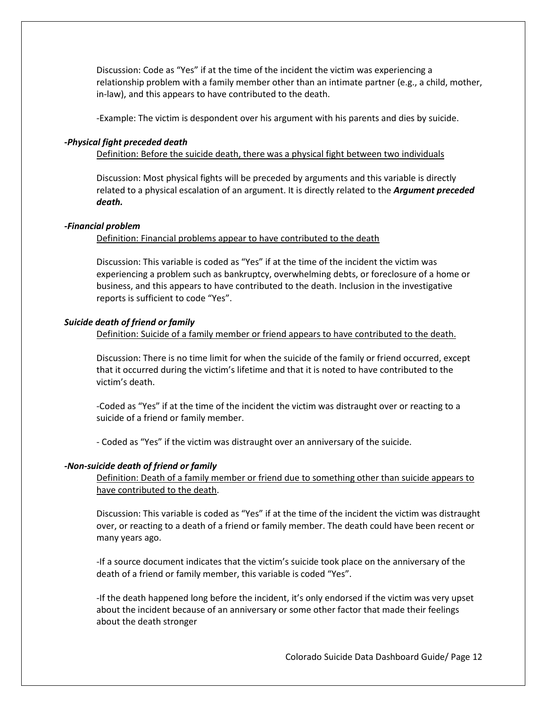Discussion: Code as "Yes" if at the time of the incident the victim was experiencing a relationship problem with a family member other than an intimate partner (e.g., a child, mother, in-law), and this appears to have contributed to the death.

-Example: The victim is despondent over his argument with his parents and dies by suicide.

### **-***Physical fight preceded death*

Definition: Before the suicide death, there was a physical fight between two individuals

Discussion: Most physical fights will be preceded by arguments and this variable is directly related to a physical escalation of an argument. It is directly related to the *Argument preceded death.*

### *-Financial problem*

Definition: Financial problems appear to have contributed to the death

Discussion: This variable is coded as "Yes" if at the time of the incident the victim was experiencing a problem such as bankruptcy, overwhelming debts, or foreclosure of a home or business, and this appears to have contributed to the death. Inclusion in the investigative reports is sufficient to code "Yes".

#### *Suicide death of friend or family*

Definition: Suicide of a family member or friend appears to have contributed to the death.

Discussion: There is no time limit for when the suicide of the family or friend occurred, except that it occurred during the victim's lifetime and that it is noted to have contributed to the victim's death.

-Coded as "Yes" if at the time of the incident the victim was distraught over or reacting to a suicide of a friend or family member.

- Coded as "Yes" if the victim was distraught over an anniversary of the suicide.

## *-Non-suicide death of friend or family*

Definition: Death of a family member or friend due to something other than suicide appears to have contributed to the death.

Discussion: This variable is coded as "Yes" if at the time of the incident the victim was distraught over, or reacting to a death of a friend or family member. The death could have been recent or many years ago.

-If a source document indicates that the victim's suicide took place on the anniversary of the death of a friend or family member, this variable is coded "Yes".

-If the death happened long before the incident, it's only endorsed if the victim was very upset about the incident because of an anniversary or some other factor that made their feelings about the death stronger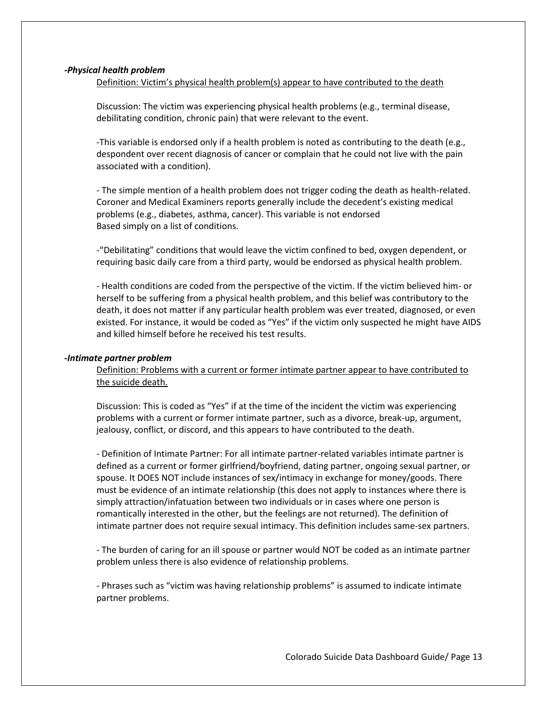## *-Physical health problem*

Definition: Victim's physical health problem(s) appear to have contributed to the death

Discussion: The victim was experiencing physical health problems (e.g., terminal disease, debilitating condition, chronic pain) that were relevant to the event.

-This variable is endorsed only if a health problem is noted as contributing to the death (e.g., despondent over recent diagnosis of cancer or complain that he could not live with the pain associated with a condition).

- The simple mention of a health problem does not trigger coding the death as health-related. Coroner and Medical Examiners reports generally include the decedent's existing medical problems (e.g., diabetes, asthma, cancer). This variable is not endorsed Based simply on a list of conditions.

-"Debilitating" conditions that would leave the victim confined to bed, oxygen dependent, or requiring basic daily care from a third party, would be endorsed as physical health problem.

- Health conditions are coded from the perspective of the victim. If the victim believed him- or herself to be suffering from a physical health problem, and this belief was contributory to the death, it does not matter if any particular health problem was ever treated, diagnosed, or even existed. For instance, it would be coded as "Yes" if the victim only suspected he might have AIDS and killed himself before he received his test results.

## *-Intimate partner problem*

Definition: Problems with a current or former intimate partner appear to have contributed to the suicide death.

Discussion: This is coded as "Yes" if at the time of the incident the victim was experiencing problems with a current or former intimate partner, such as a divorce, break-up, argument, jealousy, conflict, or discord, and this appears to have contributed to the death.

- Definition of Intimate Partner: For all intimate partner-related variables intimate partner is defined as a current or former girlfriend/boyfriend, dating partner, ongoing sexual partner, or spouse. It DOES NOT include instances of sex/intimacy in exchange for money/goods. There must be evidence of an intimate relationship (this does not apply to instances where there is simply attraction/infatuation between two individuals or in cases where one person is romantically interested in the other, but the feelings are not returned). The definition of intimate partner does not require sexual intimacy. This definition includes same-sex partners.

- The burden of caring for an ill spouse or partner would NOT be coded as an intimate partner problem unless there is also evidence of relationship problems.

- Phrases such as "victim was having relationship problems" is assumed to indicate intimate partner problems.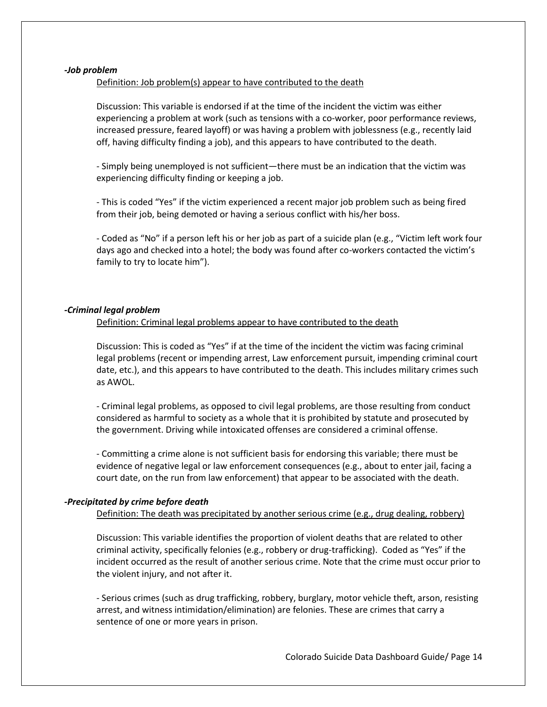#### *-Job problem*

Definition: Job problem(s) appear to have contributed to the death

Discussion: This variable is endorsed if at the time of the incident the victim was either experiencing a problem at work (such as tensions with a co-worker, poor performance reviews, increased pressure, feared layoff) or was having a problem with joblessness (e.g., recently laid off, having difficulty finding a job), and this appears to have contributed to the death.

- Simply being unemployed is not sufficient—there must be an indication that the victim was experiencing difficulty finding or keeping a job.

- This is coded "Yes" if the victim experienced a recent major job problem such as being fired from their job, being demoted or having a serious conflict with his/her boss.

- Coded as "No" if a person left his or her job as part of a suicide plan (e.g., "Victim left work four days ago and checked into a hotel; the body was found after co-workers contacted the victim's family to try to locate him").

## *-Criminal legal problem*

Definition: Criminal legal problems appear to have contributed to the death

Discussion: This is coded as "Yes" if at the time of the incident the victim was facing criminal legal problems (recent or impending arrest, Law enforcement pursuit, impending criminal court date, etc.), and this appears to have contributed to the death. This includes military crimes such as AWOL.

- Criminal legal problems, as opposed to civil legal problems, are those resulting from conduct considered as harmful to society as a whole that it is prohibited by statute and prosecuted by the government. Driving while intoxicated offenses are considered a criminal offense.

- Committing a crime alone is not sufficient basis for endorsing this variable; there must be evidence of negative legal or law enforcement consequences (e.g., about to enter jail, facing a court date, on the run from law enforcement) that appear to be associated with the death.

## *-Precipitated by crime before death*

Definition: The death was precipitated by another serious crime (e.g., drug dealing, robbery)

Discussion: This variable identifies the proportion of violent deaths that are related to other criminal activity, specifically felonies (e.g., robbery or drug-trafficking). Coded as "Yes" if the incident occurred as the result of another serious crime. Note that the crime must occur prior to the violent injury, and not after it.

- Serious crimes (such as drug trafficking, robbery, burglary, motor vehicle theft, arson, resisting arrest, and witness intimidation/elimination) are felonies. These are crimes that carry a sentence of one or more years in prison.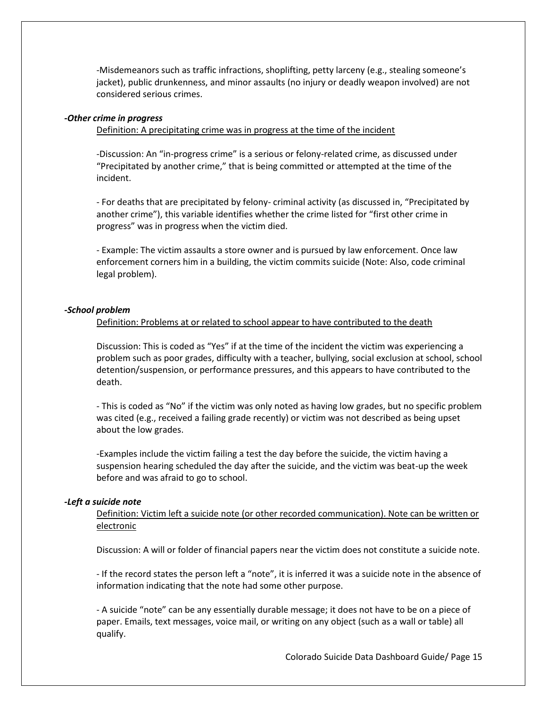-Misdemeanors such as traffic infractions, shoplifting, petty larceny (e.g., stealing someone's jacket), public drunkenness, and minor assaults (no injury or deadly weapon involved) are not considered serious crimes.

## *-Other crime in progress*

#### Definition: A precipitating crime was in progress at the time of the incident

-Discussion: An "in-progress crime" is a serious or felony-related crime, as discussed under "Precipitated by another crime," that is being committed or attempted at the time of the incident.

- For deaths that are precipitated by felony- criminal activity (as discussed in, "Precipitated by another crime"), this variable identifies whether the crime listed for "first other crime in progress" was in progress when the victim died.

- Example: The victim assaults a store owner and is pursued by law enforcement. Once law enforcement corners him in a building, the victim commits suicide (Note: Also, code criminal legal problem).

#### *-School problem*

#### Definition: Problems at or related to school appear to have contributed to the death

Discussion: This is coded as "Yes" if at the time of the incident the victim was experiencing a problem such as poor grades, difficulty with a teacher, bullying, social exclusion at school, school detention/suspension, or performance pressures, and this appears to have contributed to the death.

- This is coded as "No" if the victim was only noted as having low grades, but no specific problem was cited (e.g., received a failing grade recently) or victim was not described as being upset about the low grades.

-Examples include the victim failing a test the day before the suicide, the victim having a suspension hearing scheduled the day after the suicide, and the victim was beat-up the week before and was afraid to go to school.

#### *-Left a suicide note*

Definition: Victim left a suicide note (or other recorded communication). Note can be written or electronic

Discussion: A will or folder of financial papers near the victim does not constitute a suicide note.

- If the record states the person left a "note", it is inferred it was a suicide note in the absence of information indicating that the note had some other purpose.

- A suicide "note" can be any essentially durable message; it does not have to be on a piece of paper. Emails, text messages, voice mail, or writing on any object (such as a wall or table) all qualify.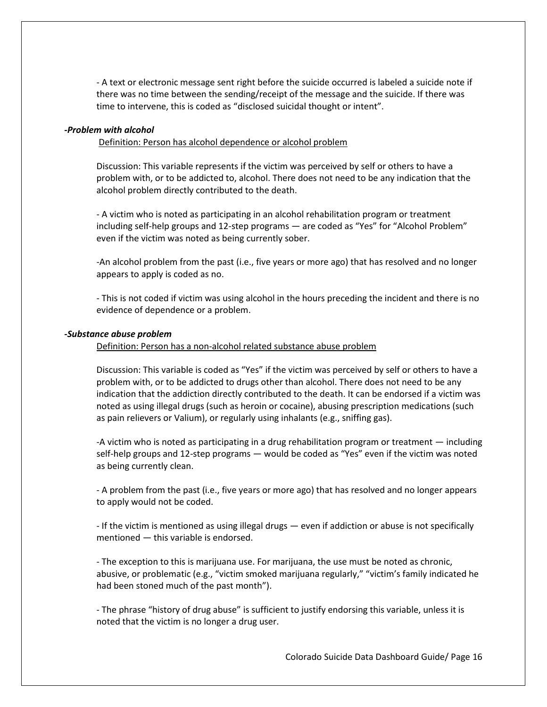- A text or electronic message sent right before the suicide occurred is labeled a suicide note if there was no time between the sending/receipt of the message and the suicide. If there was time to intervene, this is coded as "disclosed suicidal thought or intent".

## *-Problem with alcohol*

Definition: Person has alcohol dependence or alcohol problem

Discussion: This variable represents if the victim was perceived by self or others to have a problem with, or to be addicted to, alcohol. There does not need to be any indication that the alcohol problem directly contributed to the death.

- A victim who is noted as participating in an alcohol rehabilitation program or treatment including self-help groups and 12-step programs — are coded as "Yes" for "Alcohol Problem" even if the victim was noted as being currently sober.

-An alcohol problem from the past (i.e., five years or more ago) that has resolved and no longer appears to apply is coded as no.

- This is not coded if victim was using alcohol in the hours preceding the incident and there is no evidence of dependence or a problem.

#### *-Substance abuse problem*

Definition: Person has a non-alcohol related substance abuse problem

Discussion: This variable is coded as "Yes" if the victim was perceived by self or others to have a problem with, or to be addicted to drugs other than alcohol. There does not need to be any indication that the addiction directly contributed to the death. It can be endorsed if a victim was noted as using illegal drugs (such as heroin or cocaine), abusing prescription medications (such as pain relievers or Valium), or regularly using inhalants (e.g., sniffing gas).

-A victim who is noted as participating in a drug rehabilitation program or treatment — including self-help groups and 12-step programs — would be coded as "Yes" even if the victim was noted as being currently clean.

- A problem from the past (i.e., five years or more ago) that has resolved and no longer appears to apply would not be coded.

- If the victim is mentioned as using illegal drugs — even if addiction or abuse is not specifically mentioned — this variable is endorsed.

- The exception to this is marijuana use. For marijuana, the use must be noted as chronic, abusive, or problematic (e.g., "victim smoked marijuana regularly," "victim's family indicated he had been stoned much of the past month").

- The phrase "history of drug abuse" is sufficient to justify endorsing this variable, unless it is noted that the victim is no longer a drug user.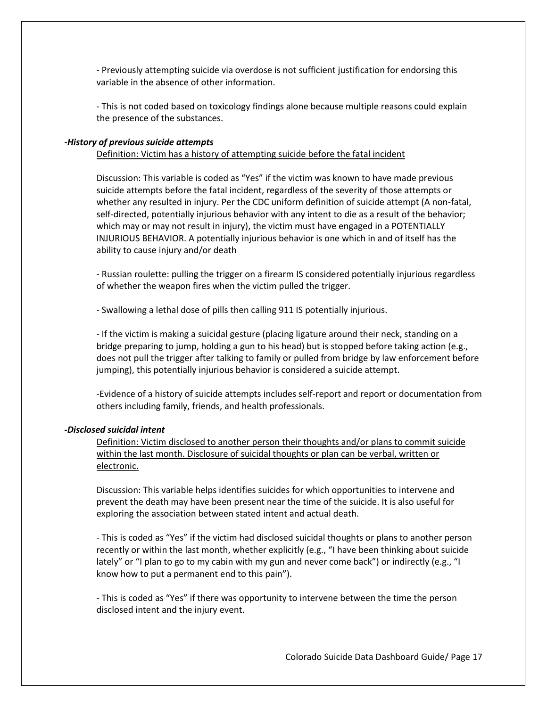- Previously attempting suicide via overdose is not sufficient justification for endorsing this variable in the absence of other information.

- This is not coded based on toxicology findings alone because multiple reasons could explain the presence of the substances.

### *-History of previous suicide attempts*

## Definition: Victim has a history of attempting suicide before the fatal incident

Discussion: This variable is coded as "Yes" if the victim was known to have made previous suicide attempts before the fatal incident, regardless of the severity of those attempts or whether any resulted in injury. Per the CDC uniform definition of suicide attempt (A non-fatal, self-directed, potentially injurious behavior with any intent to die as a result of the behavior; which may or may not result in injury), the victim must have engaged in a POTENTIALLY INJURIOUS BEHAVIOR. A potentially injurious behavior is one which in and of itself has the ability to cause injury and/or death

- Russian roulette: pulling the trigger on a firearm IS considered potentially injurious regardless of whether the weapon fires when the victim pulled the trigger.

- Swallowing a lethal dose of pills then calling 911 IS potentially injurious.

- If the victim is making a suicidal gesture (placing ligature around their neck, standing on a bridge preparing to jump, holding a gun to his head) but is stopped before taking action (e.g., does not pull the trigger after talking to family or pulled from bridge by law enforcement before jumping), this potentially injurious behavior is considered a suicide attempt.

-Evidence of a history of suicide attempts includes self-report and report or documentation from others including family, friends, and health professionals.

#### *-Disclosed suicidal intent*

Definition: Victim disclosed to another person their thoughts and/or plans to commit suicide within the last month. Disclosure of suicidal thoughts or plan can be verbal, written or electronic.

Discussion: This variable helps identifies suicides for which opportunities to intervene and prevent the death may have been present near the time of the suicide. It is also useful for exploring the association between stated intent and actual death.

- This is coded as "Yes" if the victim had disclosed suicidal thoughts or plans to another person recently or within the last month, whether explicitly (e.g., "I have been thinking about suicide lately" or "I plan to go to my cabin with my gun and never come back") or indirectly (e.g., "I know how to put a permanent end to this pain").

- This is coded as "Yes" if there was opportunity to intervene between the time the person disclosed intent and the injury event.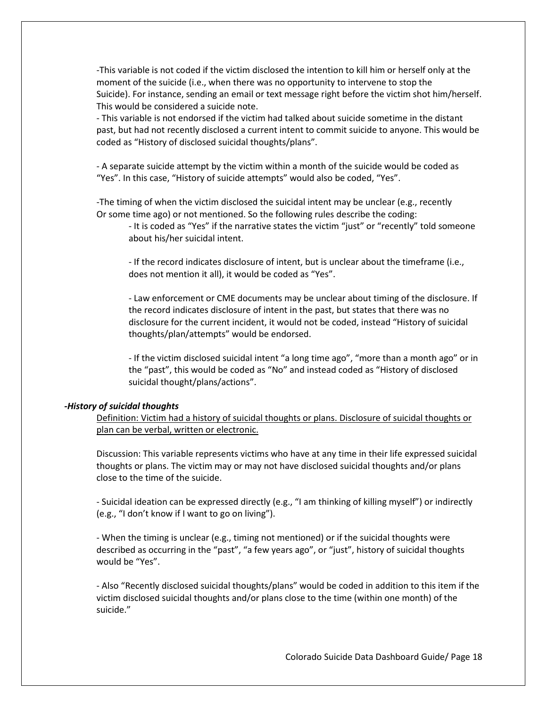-This variable is not coded if the victim disclosed the intention to kill him or herself only at the moment of the suicide (i.e., when there was no opportunity to intervene to stop the Suicide). For instance, sending an email or text message right before the victim shot him/herself. This would be considered a suicide note.

- This variable is not endorsed if the victim had talked about suicide sometime in the distant past, but had not recently disclosed a current intent to commit suicide to anyone. This would be coded as "History of disclosed suicidal thoughts/plans".

- A separate suicide attempt by the victim within a month of the suicide would be coded as "Yes". In this case, "History of suicide attempts" would also be coded, "Yes".

-The timing of when the victim disclosed the suicidal intent may be unclear (e.g., recently Or some time ago) or not mentioned. So the following rules describe the coding:

- It is coded as "Yes" if the narrative states the victim "just" or "recently" told someone about his/her suicidal intent.

- If the record indicates disclosure of intent, but is unclear about the timeframe (i.e., does not mention it all), it would be coded as "Yes".

- Law enforcement or CME documents may be unclear about timing of the disclosure. If the record indicates disclosure of intent in the past, but states that there was no disclosure for the current incident, it would not be coded, instead "History of suicidal thoughts/plan/attempts" would be endorsed.

- If the victim disclosed suicidal intent "a long time ago", "more than a month ago" or in the "past", this would be coded as "No" and instead coded as "History of disclosed suicidal thought/plans/actions".

#### *-History of suicidal thoughts*

Definition: Victim had a history of suicidal thoughts or plans. Disclosure of suicidal thoughts or plan can be verbal, written or electronic.

Discussion: This variable represents victims who have at any time in their life expressed suicidal thoughts or plans. The victim may or may not have disclosed suicidal thoughts and/or plans close to the time of the suicide.

- Suicidal ideation can be expressed directly (e.g., "I am thinking of killing myself") or indirectly (e.g., "I don't know if I want to go on living").

- When the timing is unclear (e.g., timing not mentioned) or if the suicidal thoughts were described as occurring in the "past", "a few years ago", or "just", history of suicidal thoughts would be "Yes".

- Also "Recently disclosed suicidal thoughts/plans" would be coded in addition to this item if the victim disclosed suicidal thoughts and/or plans close to the time (within one month) of the suicide."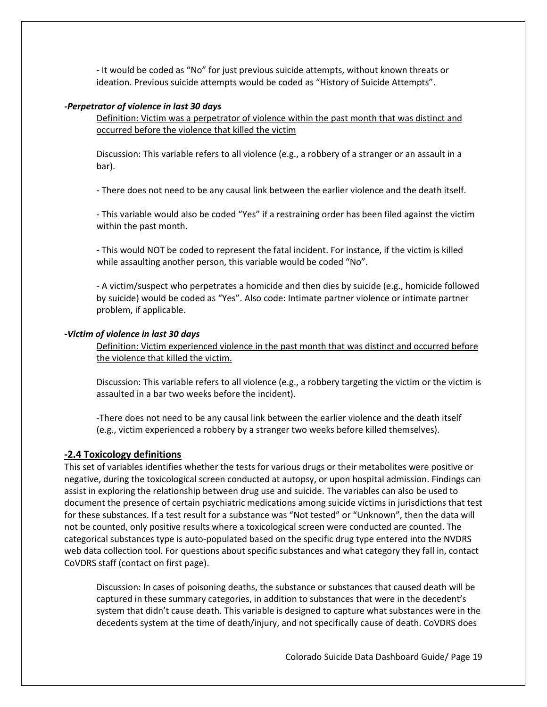- It would be coded as "No" for just previous suicide attempts, without known threats or ideation. Previous suicide attempts would be coded as "History of Suicide Attempts".

#### *-Perpetrator of violence in last 30 days*

Definition: Victim was a perpetrator of violence within the past month that was distinct and occurred before the violence that killed the victim

Discussion: This variable refers to all violence (e.g., a robbery of a stranger or an assault in a bar).

- There does not need to be any causal link between the earlier violence and the death itself.

- This variable would also be coded "Yes" if a restraining order has been filed against the victim within the past month.

- This would NOT be coded to represent the fatal incident. For instance, if the victim is killed while assaulting another person, this variable would be coded "No".

- A victim/suspect who perpetrates a homicide and then dies by suicide (e.g., homicide followed by suicide) would be coded as "Yes". Also code: Intimate partner violence or intimate partner problem, if applicable.

## *-Victim of violence in last 30 days*

Definition: Victim experienced violence in the past month that was distinct and occurred before the violence that killed the victim.

Discussion: This variable refers to all violence (e.g., a robbery targeting the victim or the victim is assaulted in a bar two weeks before the incident).

-There does not need to be any causal link between the earlier violence and the death itself (e.g., victim experienced a robbery by a stranger two weeks before killed themselves).

## **-2.4 Toxicology definitions**

This set of variables identifies whether the tests for various drugs or their metabolites were positive or negative, during the toxicological screen conducted at autopsy, or upon hospital admission. Findings can assist in exploring the relationship between drug use and suicide. The variables can also be used to document the presence of certain psychiatric medications among suicide victims in jurisdictions that test for these substances. If a test result for a substance was "Not tested" or "Unknown", then the data will not be counted, only positive results where a toxicological screen were conducted are counted. The categorical substances type is auto-populated based on the specific drug type entered into the NVDRS web data collection tool. For questions about specific substances and what category they fall in, contact CoVDRS staff (contact on first page).

Discussion: In cases of poisoning deaths, the substance or substances that caused death will be captured in these summary categories, in addition to substances that were in the decedent's system that didn't cause death. This variable is designed to capture what substances were in the decedents system at the time of death/injury, and not specifically cause of death. CoVDRS does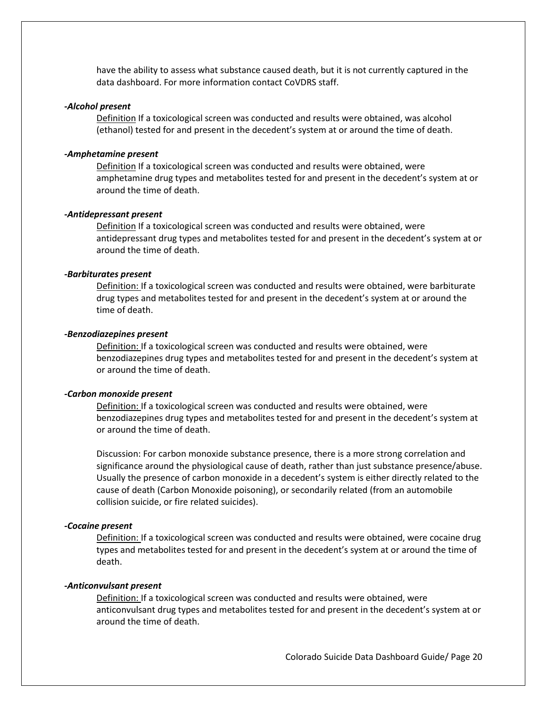have the ability to assess what substance caused death, but it is not currently captured in the data dashboard. For more information contact CoVDRS staff.

#### *-Alcohol present*

Definition If a toxicological screen was conducted and results were obtained, was alcohol (ethanol) tested for and present in the decedent's system at or around the time of death.

#### *-Amphetamine present*

Definition If a toxicological screen was conducted and results were obtained, were amphetamine drug types and metabolites tested for and present in the decedent's system at or around the time of death.

#### *-Antidepressant present*

Definition If a toxicological screen was conducted and results were obtained, were antidepressant drug types and metabolites tested for and present in the decedent's system at or around the time of death.

## *-Barbiturates present*

Definition: If a toxicological screen was conducted and results were obtained, were barbiturate drug types and metabolites tested for and present in the decedent's system at or around the time of death.

## *-Benzodiazepines present*

Definition: If a toxicological screen was conducted and results were obtained, were benzodiazepines drug types and metabolites tested for and present in the decedent's system at or around the time of death.

## *-Carbon monoxide present*

Definition: If a toxicological screen was conducted and results were obtained, were benzodiazepines drug types and metabolites tested for and present in the decedent's system at or around the time of death.

Discussion: For carbon monoxide substance presence, there is a more strong correlation and significance around the physiological cause of death, rather than just substance presence/abuse. Usually the presence of carbon monoxide in a decedent's system is either directly related to the cause of death (Carbon Monoxide poisoning), or secondarily related (from an automobile collision suicide, or fire related suicides).

#### *-Cocaine present*

Definition: If a toxicological screen was conducted and results were obtained, were cocaine drug types and metabolites tested for and present in the decedent's system at or around the time of death.

#### *-Anticonvulsant present*

Definition: If a toxicological screen was conducted and results were obtained, were anticonvulsant drug types and metabolites tested for and present in the decedent's system at or around the time of death.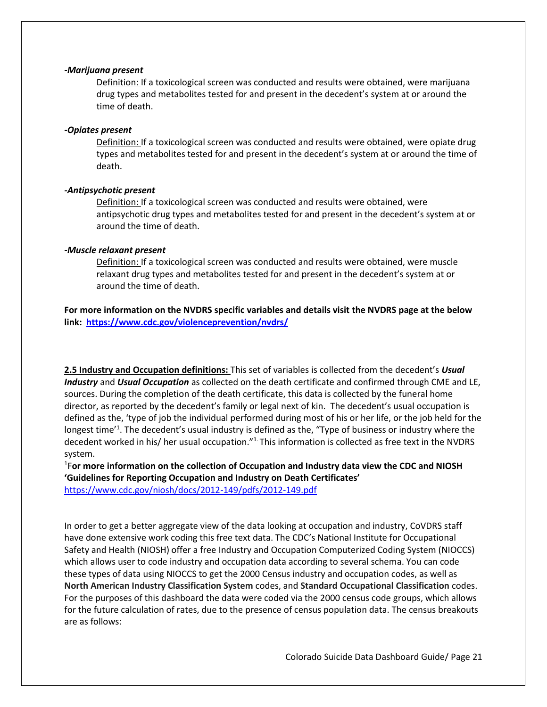#### *-Marijuana present*

Definition: If a toxicological screen was conducted and results were obtained, were marijuana drug types and metabolites tested for and present in the decedent's system at or around the time of death.

## *-Opiates present*

Definition: If a toxicological screen was conducted and results were obtained, were opiate drug types and metabolites tested for and present in the decedent's system at or around the time of death.

## *-Antipsychotic present*

Definition: If a toxicological screen was conducted and results were obtained, were antipsychotic drug types and metabolites tested for and present in the decedent's system at or around the time of death.

## *-Muscle relaxant present*

Definition: If a toxicological screen was conducted and results were obtained, were muscle relaxant drug types and metabolites tested for and present in the decedent's system at or around the time of death.

**For more information on the NVDRS specific variables and details visit the NVDRS page at the below link:<https://www.cdc.gov/violenceprevention/nvdrs/>**

**2.5 Industry and Occupation definitions:** This set of variables is collected from the decedent's *Usual Industry* and *Usual Occupation* as collected on the death certificate and confirmed through CME and LE, sources. During the completion of the death certificate, this data is collected by the funeral home director, as reported by the decedent's family or legal next of kin. The decedent's usual occupation is defined as the, 'type of job the individual performed during most of his or her life, or the job held for the longest time<sup>'1</sup>. The decedent's usual industry is defined as the, "Type of business or industry where the decedent worked in his/ her usual occupation."<sup>1</sup> This information is collected as free text in the NVDRS system.

1 F**or more information on the collection of Occupation and Industry data view the CDC and NIOSH 'Guidelines for Reporting Occupation and Industry on Death Certificates'**

<https://www.cdc.gov/niosh/docs/2012-149/pdfs/2012-149.pdf>

In order to get a better aggregate view of the data looking at occupation and industry, CoVDRS staff have done extensive work coding this free text data. The CDC's National Institute for Occupational Safety and Health (NIOSH) offer a free Industry and Occupation Computerized Coding System (NIOCCS) which allows user to code industry and occupation data according to several schema. You can code these types of data using NIOCCS to get the 2000 Census industry and occupation codes, as well as **North American Industry Classification System** codes, and **Standard Occupational Classification** codes. For the purposes of this dashboard the data were coded via the 2000 census code groups, which allows for the future calculation of rates, due to the presence of census population data. The census breakouts are as follows: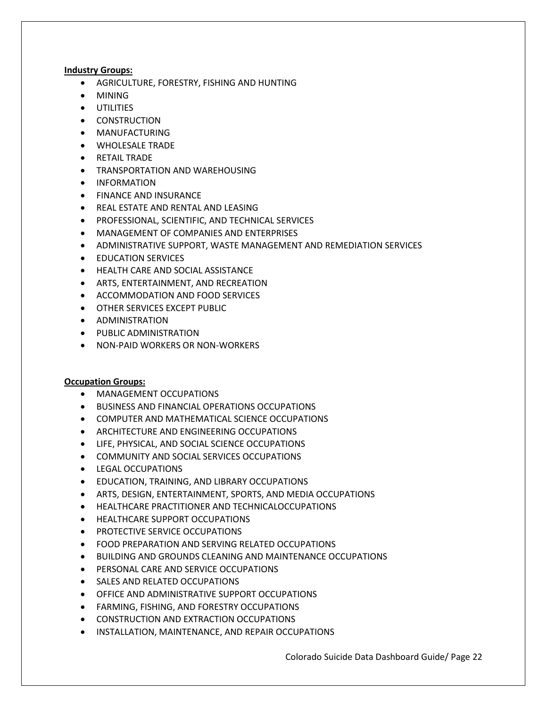## **Industry Groups:**

- AGRICULTURE, FORESTRY, FISHING AND HUNTING
- MINING
- **•** UTILITIES
- **•** CONSTRUCTION
- MANUFACTURING
- WHOLESALE TRADE
- RETAIL TRADE
- TRANSPORTATION AND WAREHOUSING
- **•** INFORMATION
- **FINANCE AND INSURANCE**
- **REAL ESTATE AND RENTAL AND LEASING**
- PROFESSIONAL, SCIENTIFIC, AND TECHNICAL SERVICES
- MANAGEMENT OF COMPANIES AND ENTERPRISES
- ADMINISTRATIVE SUPPORT, WASTE MANAGEMENT AND REMEDIATION SERVICES
- **•** EDUCATION SERVICES
- **HEALTH CARE AND SOCIAL ASSISTANCE**
- ARTS, ENTERTAINMENT, AND RECREATION
- **ACCOMMODATION AND FOOD SERVICES**
- OTHER SERVICES EXCEPT PUBLIC
- **•** ADMINISTRATION
- **•** PUBLIC ADMINISTRATION
- NON-PAID WORKERS OR NON-WORKERS

## **Occupation Groups:**

- MANAGEMENT OCCUPATIONS
- BUSINESS AND FINANCIAL OPERATIONS OCCUPATIONS
- COMPUTER AND MATHEMATICAL SCIENCE OCCUPATIONS
- **ARCHITECTURE AND ENGINEERING OCCUPATIONS**
- LIFE, PHYSICAL, AND SOCIAL SCIENCE OCCUPATIONS
- COMMUNITY AND SOCIAL SERVICES OCCUPATIONS
- **•** LEGAL OCCUPATIONS
- EDUCATION, TRAINING, AND LIBRARY OCCUPATIONS
- ARTS, DESIGN, ENTERTAINMENT, SPORTS, AND MEDIA OCCUPATIONS
- HEALTHCARE PRACTITIONER AND TECHNICALOCCUPATIONS
- HEALTHCARE SUPPORT OCCUPATIONS
- PROTECTIVE SERVICE OCCUPATIONS
- FOOD PREPARATION AND SERVING RELATED OCCUPATIONS
- BUILDING AND GROUNDS CLEANING AND MAINTENANCE OCCUPATIONS
- **PERSONAL CARE AND SERVICE OCCUPATIONS**
- SALES AND RELATED OCCUPATIONS
- OFFICE AND ADMINISTRATIVE SUPPORT OCCUPATIONS
- FARMING, FISHING, AND FORESTRY OCCUPATIONS
- CONSTRUCTION AND EXTRACTION OCCUPATIONS
- INSTALLATION, MAINTENANCE, AND REPAIR OCCUPATIONS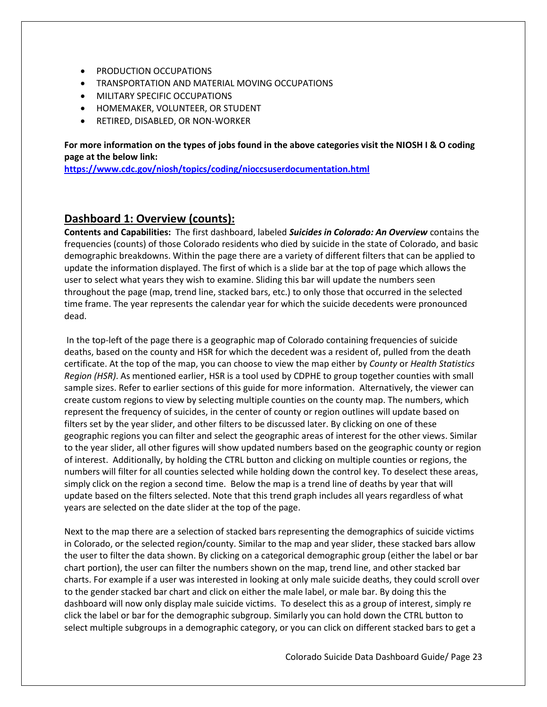- PRODUCTION OCCUPATIONS
- TRANSPORTATION AND MATERIAL MOVING OCCUPATIONS
- **MILITARY SPECIFIC OCCUPATIONS**
- HOMEMAKER, VOLUNTEER, OR STUDENT
- RETIRED, DISABLED, OR NON-WORKER

**For more information on the types of jobs found in the above categories visit the NIOSH I & O coding page at the below link:** 

**<https://www.cdc.gov/niosh/topics/coding/nioccsuserdocumentation.html>**

## **Dashboard 1: Overview (counts):**

**Contents and Capabilities:** The first dashboard, labeled *Suicides in Colorado: An Overview* contains the frequencies (counts) of those Colorado residents who died by suicide in the state of Colorado, and basic demographic breakdowns. Within the page there are a variety of different filters that can be applied to update the information displayed. The first of which is a slide bar at the top of page which allows the user to select what years they wish to examine. Sliding this bar will update the numbers seen throughout the page (map, trend line, stacked bars, etc.) to only those that occurred in the selected time frame. The year represents the calendar year for which the suicide decedents were pronounced dead.

In the top-left of the page there is a geographic map of Colorado containing frequencies of suicide deaths, based on the county and HSR for which the decedent was a resident of, pulled from the death certificate. At the top of the map, you can choose to view the map either by *County* or *Health Statistics Region (HSR)*. As mentioned earlier, HSR is a tool used by CDPHE to group together counties with small sample sizes. Refer to earlier sections of this guide for more information. Alternatively, the viewer can create custom regions to view by selecting multiple counties on the county map. The numbers, which represent the frequency of suicides, in the center of county or region outlines will update based on filters set by the year slider, and other filters to be discussed later. By clicking on one of these geographic regions you can filter and select the geographic areas of interest for the other views. Similar to the year slider, all other figures will show updated numbers based on the geographic county or region of interest. Additionally, by holding the CTRL button and clicking on multiple counties or regions, the numbers will filter for all counties selected while holding down the control key. To deselect these areas, simply click on the region a second time. Below the map is a trend line of deaths by year that will update based on the filters selected. Note that this trend graph includes all years regardless of what years are selected on the date slider at the top of the page.

Next to the map there are a selection of stacked bars representing the demographics of suicide victims in Colorado, or the selected region/county. Similar to the map and year slider, these stacked bars allow the user to filter the data shown. By clicking on a categorical demographic group (either the label or bar chart portion), the user can filter the numbers shown on the map, trend line, and other stacked bar charts. For example if a user was interested in looking at only male suicide deaths, they could scroll over to the gender stacked bar chart and click on either the male label, or male bar. By doing this the dashboard will now only display male suicide victims. To deselect this as a group of interest, simply re click the label or bar for the demographic subgroup. Similarly you can hold down the CTRL button to select multiple subgroups in a demographic category, or you can click on different stacked bars to get a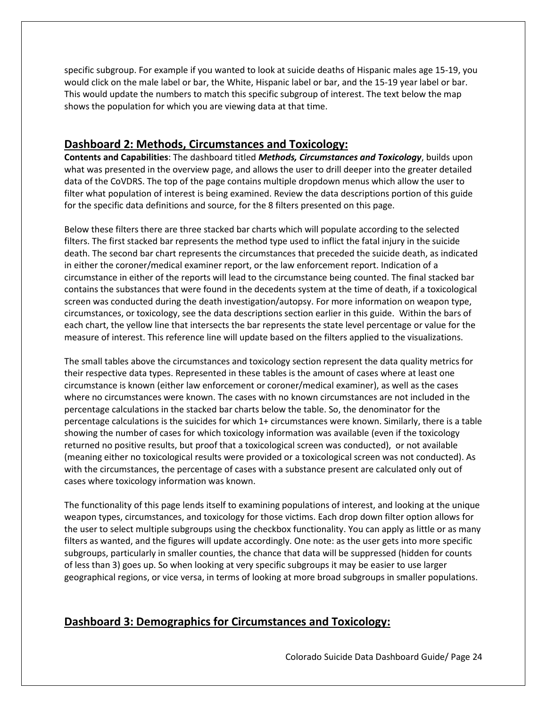specific subgroup. For example if you wanted to look at suicide deaths of Hispanic males age 15-19, you would click on the male label or bar, the White, Hispanic label or bar, and the 15-19 year label or bar. This would update the numbers to match this specific subgroup of interest. The text below the map shows the population for which you are viewing data at that time.

## **Dashboard 2: Methods, Circumstances and Toxicology:**

**Contents and Capabilities**: The dashboard titled *Methods, Circumstances and Toxicology*, builds upon what was presented in the overview page, and allows the user to drill deeper into the greater detailed data of the CoVDRS. The top of the page contains multiple dropdown menus which allow the user to filter what population of interest is being examined. Review the data descriptions portion of this guide for the specific data definitions and source, for the 8 filters presented on this page.

Below these filters there are three stacked bar charts which will populate according to the selected filters. The first stacked bar represents the method type used to inflict the fatal injury in the suicide death. The second bar chart represents the circumstances that preceded the suicide death, as indicated in either the coroner/medical examiner report, or the law enforcement report. Indication of a circumstance in either of the reports will lead to the circumstance being counted. The final stacked bar contains the substances that were found in the decedents system at the time of death, if a toxicological screen was conducted during the death investigation/autopsy. For more information on weapon type, circumstances, or toxicology, see the data descriptions section earlier in this guide. Within the bars of each chart, the yellow line that intersects the bar represents the state level percentage or value for the measure of interest. This reference line will update based on the filters applied to the visualizations.

The small tables above the circumstances and toxicology section represent the data quality metrics for their respective data types. Represented in these tables is the amount of cases where at least one circumstance is known (either law enforcement or coroner/medical examiner), as well as the cases where no circumstances were known. The cases with no known circumstances are not included in the percentage calculations in the stacked bar charts below the table. So, the denominator for the percentage calculations is the suicides for which 1+ circumstances were known. Similarly, there is a table showing the number of cases for which toxicology information was available (even if the toxicology returned no positive results, but proof that a toxicological screen was conducted), or not available (meaning either no toxicological results were provided or a toxicological screen was not conducted). As with the circumstances, the percentage of cases with a substance present are calculated only out of cases where toxicology information was known.

The functionality of this page lends itself to examining populations of interest, and looking at the unique weapon types, circumstances, and toxicology for those victims. Each drop down filter option allows for the user to select multiple subgroups using the checkbox functionality. You can apply as little or as many filters as wanted, and the figures will update accordingly. One note: as the user gets into more specific subgroups, particularly in smaller counties, the chance that data will be suppressed (hidden for counts of less than 3) goes up. So when looking at very specific subgroups it may be easier to use larger geographical regions, or vice versa, in terms of looking at more broad subgroups in smaller populations.

## **Dashboard 3: Demographics for Circumstances and Toxicology:**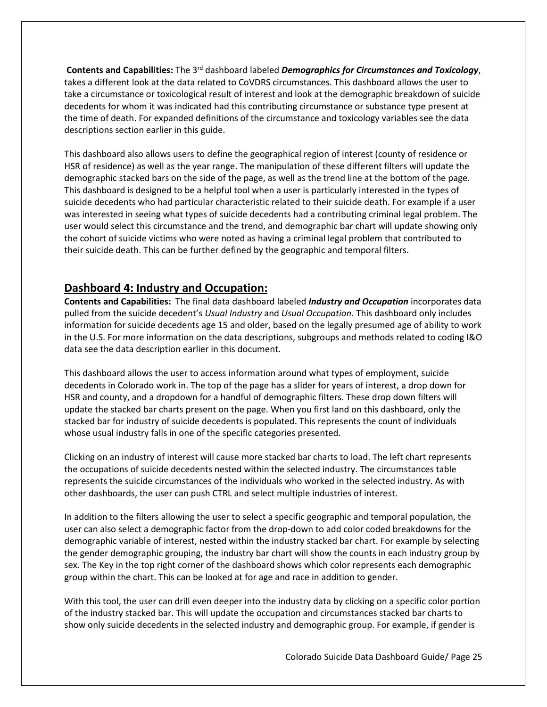**Contents and Capabilities:** The 3rd dashboard labeled *Demographics for Circumstances and Toxicology*, takes a different look at the data related to CoVDRS circumstances. This dashboard allows the user to take a circumstance or toxicological result of interest and look at the demographic breakdown of suicide decedents for whom it was indicated had this contributing circumstance or substance type present at the time of death. For expanded definitions of the circumstance and toxicology variables see the data descriptions section earlier in this guide.

This dashboard also allows users to define the geographical region of interest (county of residence or HSR of residence) as well as the year range. The manipulation of these different filters will update the demographic stacked bars on the side of the page, as well as the trend line at the bottom of the page. This dashboard is designed to be a helpful tool when a user is particularly interested in the types of suicide decedents who had particular characteristic related to their suicide death. For example if a user was interested in seeing what types of suicide decedents had a contributing criminal legal problem. The user would select this circumstance and the trend, and demographic bar chart will update showing only the cohort of suicide victims who were noted as having a criminal legal problem that contributed to their suicide death. This can be further defined by the geographic and temporal filters.

## **Dashboard 4: Industry and Occupation:**

**Contents and Capabilities:** The final data dashboard labeled *Industry and Occupation* incorporates data pulled from the suicide decedent's *Usual Industry* and *Usual Occupation*. This dashboard only includes information for suicide decedents age 15 and older, based on the legally presumed age of ability to work in the U.S. For more information on the data descriptions, subgroups and methods related to coding I&O data see the data description earlier in this document.

This dashboard allows the user to access information around what types of employment, suicide decedents in Colorado work in. The top of the page has a slider for years of interest, a drop down for HSR and county, and a dropdown for a handful of demographic filters. These drop down filters will update the stacked bar charts present on the page. When you first land on this dashboard, only the stacked bar for industry of suicide decedents is populated. This represents the count of individuals whose usual industry falls in one of the specific categories presented.

Clicking on an industry of interest will cause more stacked bar charts to load. The left chart represents the occupations of suicide decedents nested within the selected industry. The circumstances table represents the suicide circumstances of the individuals who worked in the selected industry. As with other dashboards, the user can push CTRL and select multiple industries of interest.

In addition to the filters allowing the user to select a specific geographic and temporal population, the user can also select a demographic factor from the drop-down to add color coded breakdowns for the demographic variable of interest, nested within the industry stacked bar chart. For example by selecting the gender demographic grouping, the industry bar chart will show the counts in each industry group by sex. The Key in the top right corner of the dashboard shows which color represents each demographic group within the chart. This can be looked at for age and race in addition to gender.

With this tool, the user can drill even deeper into the industry data by clicking on a specific color portion of the industry stacked bar. This will update the occupation and circumstances stacked bar charts to show only suicide decedents in the selected industry and demographic group. For example, if gender is